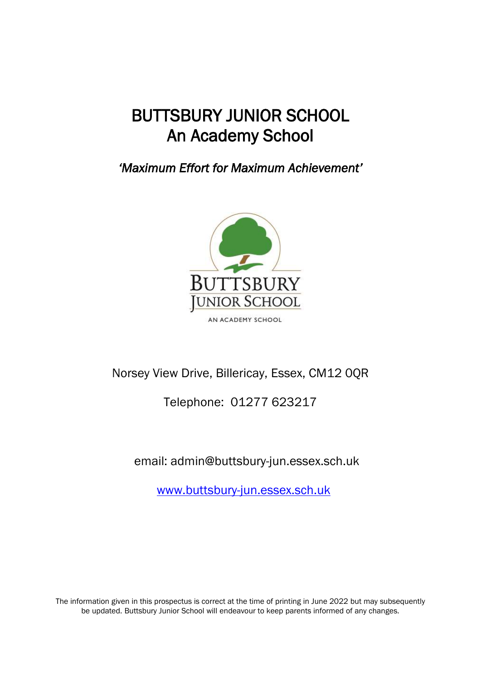# BUTTSBURY JUNIOR SCHOOL An Academy School

*'Maximum Effort for Maximum Achievement'* 



## Norsey View Drive, Billericay, Essex, CM12 0QR

## Telephone: 01277 623217

email: admin@buttsbury-jun.essex.sch.uk

[www.buttsbury-jun.essex.sch.uk](http://www.buttsbury-jun.essex.sch.uk/)

The information given in this prospectus is correct at the time of printing in June 2022 but may subsequently be updated. Buttsbury Junior School will endeavour to keep parents informed of any changes.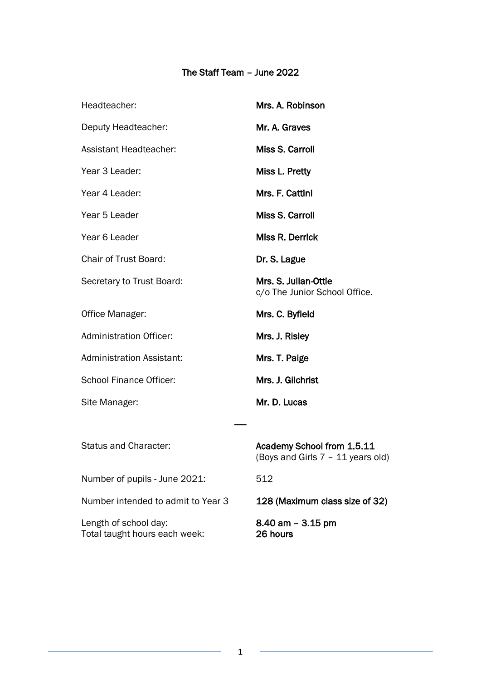### The Staff Team – June 2022

| Headteacher:                                           | Mrs. A. Robinson                                                |
|--------------------------------------------------------|-----------------------------------------------------------------|
| Deputy Headteacher:                                    | Mr. A. Graves                                                   |
| <b>Assistant Headteacher:</b>                          | Miss S. Carroll                                                 |
| Year 3 Leader:                                         | Miss L. Pretty                                                  |
| Year 4 Leader:                                         | Mrs. F. Cattini                                                 |
| Year 5 Leader                                          | Miss S. Carroll                                                 |
| Year 6 Leader                                          | Miss R. Derrick                                                 |
| <b>Chair of Trust Board:</b>                           | Dr. S. Lague                                                    |
| Secretary to Trust Board:                              | Mrs. S. Julian-Ottie<br>c/o The Junior School Office.           |
| Office Manager:                                        | Mrs. C. Byfield                                                 |
| <b>Administration Officer:</b>                         | Mrs. J. Risley                                                  |
| <b>Administration Assistant:</b>                       | Mrs. T. Paige                                                   |
| <b>School Finance Officer:</b>                         | Mrs. J. Gilchrist                                               |
| Site Manager:                                          | Mr. D. Lucas                                                    |
|                                                        |                                                                 |
| <b>Status and Character:</b>                           | Academy School from 1.5.11<br>(Boys and Girls 7 - 11 years old) |
| Number of pupils - June 2021:                          | 512                                                             |
| Number intended to admit to Year 3                     | 128 (Maximum class size of 32)                                  |
| Length of school day:<br>Total taught hours each week: | $8.40$ am $-3.15$ pm<br>26 hours                                |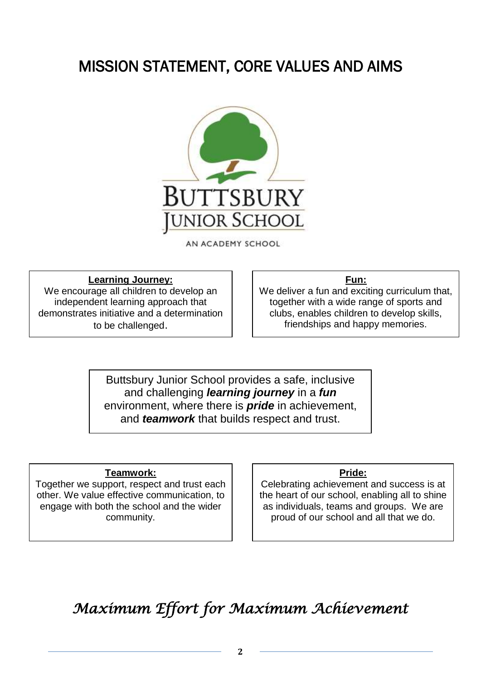# MISSION STATEMENT, CORE VALUES AND AIMS



AN ACADEMY SCHOOL

#### **Learning Journey:**

We encourage all children to develop an independent learning approach that demonstrates initiative and a determination to be challenged.

#### **Fun:**

We deliver a fun and exciting curriculum that, together with a wide range of sports and clubs, enables children to develop skills, friendships and happy memories.

Buttsbury Junior School provides a safe, inclusive and challenging *learning journey* in a *fun* environment, where there is *pride* in achievement, and *teamwork* that builds respect and trust.

#### **Teamwork:**

Together we support, respect and trust each other. We value effective communication, to engage with both the school and the wider community.

#### **Pride:**

Celebrating achievement and success is at the heart of our school, enabling all to shine as individuals, teams and groups. We are proud of our school and all that we do.

*Maximum Effort for Maximum Achievement*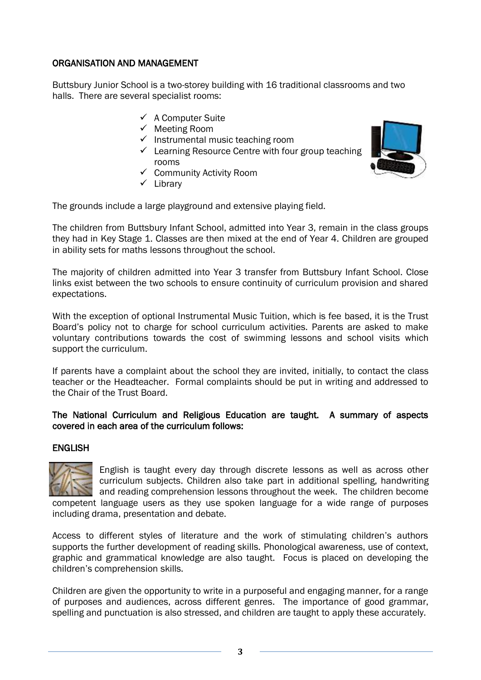#### ORGANISATION AND MANAGEMENT

Buttsbury Junior School is a two-storey building with 16 traditional classrooms and two halls. There are several specialist rooms:

- $\checkmark$  A Computer Suite
- $\checkmark$  Meeting Room
- $\checkmark$  Instrumental music teaching room
- $\checkmark$  Learning Resource Centre with four group teaching rooms
- $\checkmark$  Community Activity Room
- $\checkmark$  Library

The grounds include a large playground and extensive playing field.

The children from Buttsbury Infant School, admitted into Year 3, remain in the class groups they had in Key Stage 1. Classes are then mixed at the end of Year 4. Children are grouped in ability sets for maths lessons throughout the school.

The majority of children admitted into Year 3 transfer from Buttsbury Infant School. Close links exist between the two schools to ensure continuity of curriculum provision and shared expectations.

With the exception of optional Instrumental Music Tuition, which is fee based, it is the Trust Board's policy not to charge for school curriculum activities. Parents are asked to make voluntary contributions towards the cost of swimming lessons and school visits which support the curriculum.

If parents have a complaint about the school they are invited, initially, to contact the class teacher or the Headteacher. Formal complaints should be put in writing and addressed to the Chair of the Trust Board.

#### The National Curriculum and Religious Education are taught. A summary of aspects covered in each area of the curriculum follows:

#### ENGLISH



English is taught every day through discrete lessons as well as across other curriculum subjects. Children also take part in additional spelling, handwriting and reading comprehension lessons throughout the week. The children become competent language users as they use spoken language for a wide range of purposes

including drama, presentation and debate.

Access to different styles of literature and the work of stimulating children's authors supports the further development of reading skills. Phonological awareness, use of context, graphic and grammatical knowledge are also taught. Focus is placed on developing the children's comprehension skills.

Children are given the opportunity to write in a purposeful and engaging manner, for a range of purposes and audiences, across different genres. The importance of good grammar, spelling and punctuation is also stressed, and children are taught to apply these accurately.

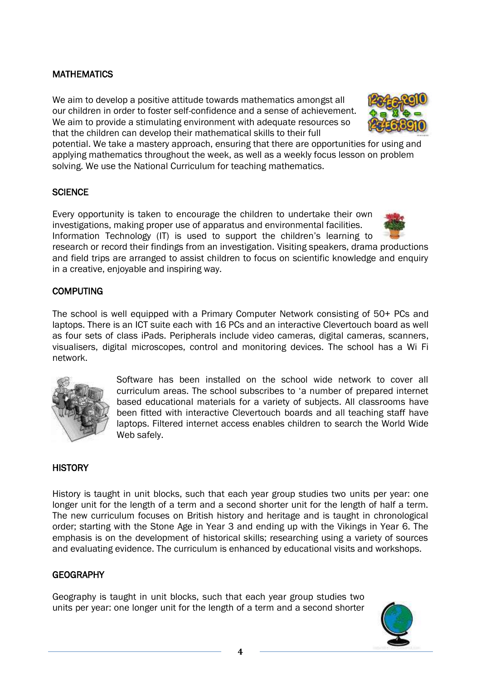#### MATHEMATICS

We aim to develop a positive attitude towards mathematics amongst all our children in order to foster self-confidence and a sense of achievement. We aim to provide a stimulating environment with adequate resources so that the children can develop their mathematical skills to their full



potential. We take a mastery approach, ensuring that there are opportunities for using and applying mathematics throughout the week, as well as a weekly focus lesson on problem solving. We use the National Curriculum for teaching mathematics.

#### **SCIENCE**

Every opportunity is taken to encourage the children to undertake their own investigations, making proper use of apparatus and environmental facilities. Information Technology (IT) is used to support the children's learning to



research or record their findings from an investigation. Visiting speakers, drama productions and field trips are arranged to assist children to focus on scientific knowledge and enquiry in a creative, enjoyable and inspiring way.

#### **COMPUTING**

The school is well equipped with a Primary Computer Network consisting of 50+ PCs and laptops. There is an ICT suite each with 16 PCs and an interactive Clevertouch board as well as four sets of class iPads. Peripherals include video cameras, digital cameras, scanners, visualisers, digital microscopes, control and monitoring devices. The school has a Wi Fi network.



Software has been installed on the school wide network to cover all curriculum areas. The school subscribes to 'a number of prepared internet based educational materials for a variety of subjects. All classrooms have been fitted with interactive Clevertouch boards and all teaching staff have laptops. Filtered internet access enables children to search the World Wide Web safely.

#### **HISTORY**

History is taught in unit blocks, such that each year group studies two units per year: one longer unit for the length of a term and a second shorter unit for the length of half a term. The new curriculum focuses on British history and heritage and is taught in chronological order; starting with the Stone Age in Year 3 and ending up with the Vikings in Year 6. The emphasis is on the development of historical skills; researching using a variety of sources and evaluating evidence. The curriculum is enhanced by educational visits and workshops.

#### **GEOGRAPHY**

Geography is taught in unit blocks, such that each year group studies two units per year: one longer unit for the length of a term and a second shorter

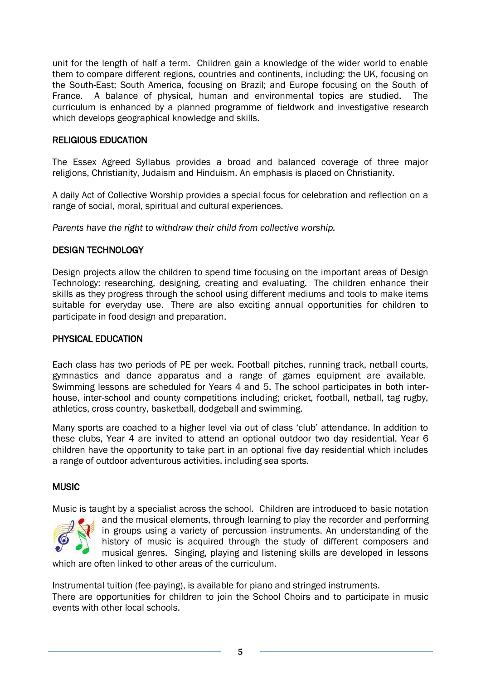unit for the length of half a term. Children gain a knowledge of the wider world to enable them to compare different regions, countries and continents, including: the UK, focusing on the South-East; South America, focusing on Brazil; and Europe focusing on the South of France. A balance of physical, human and environmental topics are studied. The curriculum is enhanced by a planned programme of fieldwork and investigative research which develops geographical knowledge and skills.

#### RELIGIOUS EDUCATION

The Essex Agreed Syllabus provides a broad and balanced coverage of three major religions, Christianity, Judaism and Hinduism. An emphasis is placed on Christianity.

A daily Act of Collective Worship provides a special focus for celebration and reflection on a range of social, moral, spiritual and cultural experiences.

*Parents have the right to withdraw their child from collective worship.*

#### DESIGN TECHNOLOGY

Design projects allow the children to spend time focusing on the important areas of Design Technology: researching, designing, creating and evaluating. The children enhance their skills as they progress through the school using different mediums and tools to make items suitable for everyday use. There are also exciting annual opportunities for children to participate in food design and preparation.

#### PHYSICAL EDUCATION

Each class has two periods of PE per week. Football pitches, running track, netball courts, gymnastics and dance apparatus and a range of games equipment are available. Swimming lessons are scheduled for Years 4 and 5. The school participates in both interhouse, inter-school and county competitions including; cricket, football, netball, tag rugby, athletics, cross country, basketball, dodgeball and swimming.

Many sports are coached to a higher level via out of class 'club' attendance. In addition to these clubs, Year 4 are invited to attend an optional outdoor two day residential. Year 6 children have the opportunity to take part in an optional five day residential which includes a range of outdoor adventurous activities, including sea sports.

#### **MUSIC**

Music is taught by a specialist across the school. Children are introduced to basic notation



and the musical elements, through learning to play the recorder and performing in groups using a variety of percussion instruments. An understanding of the history of music is acquired through the study of different composers and musical genres. Singing, playing and listening skills are developed in lessons

which are often linked to other areas of the curriculum.

Instrumental tuition (fee-paying), is available for piano and stringed instruments.

There are opportunities for children to join the School Choirs and to participate in music events with other local schools.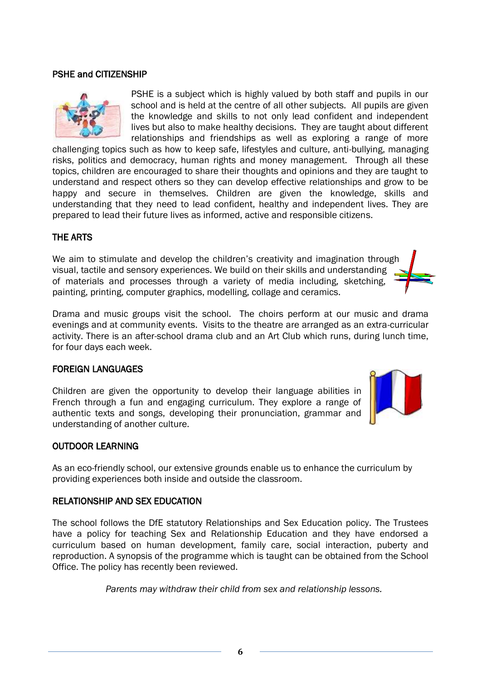**6**

#### PSHE and CITIZENSHIP

PSHE is a subject which is highly valued by both staff and pupils in our school and is held at the centre of all other subjects. All pupils are given the knowledge and skills to not only lead confident and independent lives but also to make healthy decisions. They are taught about different relationships and friendships as well as exploring a range of more

challenging topics such as how to keep safe, lifestyles and culture, anti-bullying, managing risks, politics and democracy, human rights and money management. Through all these topics, children are encouraged to share their thoughts and opinions and they are taught to understand and respect others so they can develop effective relationships and grow to be happy and secure in themselves. Children are given the knowledge, skills and understanding that they need to lead confident, healthy and independent lives. They are prepared to lead their future lives as informed, active and responsible citizens.

#### THE ARTS

We aim to stimulate and develop the children's creativity and imagination through visual, tactile and sensory experiences. We build on their skills and understanding of materials and processes through a variety of media including, sketching, painting, printing, computer graphics, modelling, collage and ceramics.

Drama and music groups visit the school. The choirs perform at our music and drama evenings and at community events. Visits to the theatre are arranged as an extra-curricular activity. There is an after-school drama club and an Art Club which runs, during lunch time, for four days each week.

#### FOREIGN LANGUAGES

Children are given the opportunity to develop their language abilities in French through a fun and engaging curriculum. They explore a range of authentic texts and songs, developing their pronunciation, grammar and understanding of another culture.

#### OUTDOOR LEARNING

As an eco-friendly school, our extensive grounds enable us to enhance the curriculum by providing experiences both inside and outside the classroom.

#### RELATIONSHIP AND SEX EDUCATION

The school follows the DfE statutory Relationships and Sex Education policy. The Trustees have a policy for teaching Sex and Relationship Education and they have endorsed a curriculum based on human development, family care, social interaction, puberty and reproduction. A synopsis of the programme which is taught can be obtained from the School Office. The policy has recently been reviewed.

*Parents may withdraw their child from sex and relationship lessons.*





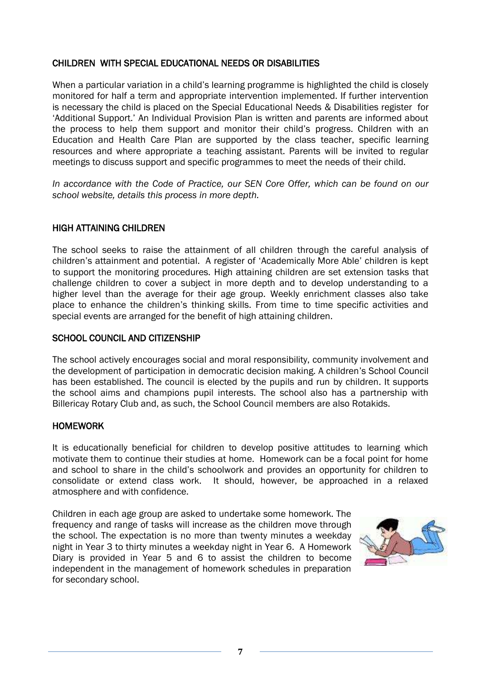#### CHILDREN WITH SPECIAL EDUCATIONAL NEEDS OR DISABILITIES

When a particular variation in a child's learning programme is highlighted the child is closely monitored for half a term and appropriate intervention implemented. If further intervention is necessary the child is placed on the Special Educational Needs & Disabilities register for 'Additional Support.' An Individual Provision Plan is written and parents are informed about the process to help them support and monitor their child's progress. Children with an Education and Health Care Plan are supported by the class teacher, specific learning resources and where appropriate a teaching assistant. Parents will be invited to regular meetings to discuss support and specific programmes to meet the needs of their child.

*In accordance with the Code of Practice, our SEN Core Offer, which can be found on our school website, details this process in more depth.*

#### HIGH ATTAINING CHILDREN

The school seeks to raise the attainment of all children through the careful analysis of children's attainment and potential. A register of 'Academically More Able' children is kept to support the monitoring procedures. High attaining children are set extension tasks that challenge children to cover a subject in more depth and to develop understanding to a higher level than the average for their age group. Weekly enrichment classes also take place to enhance the children's thinking skills. From time to time specific activities and special events are arranged for the benefit of high attaining children.

#### SCHOOL COUNCIL AND CITIZENSHIP

The school actively encourages social and moral responsibility, community involvement and the development of participation in democratic decision making. A children's School Council has been established. The council is elected by the pupils and run by children. It supports the school aims and champions pupil interests. The school also has a partnership with Billericay Rotary Club and, as such, the School Council members are also Rotakids.

#### HOMEWORK

It is educationally beneficial for children to develop positive attitudes to learning which motivate them to continue their studies at home. Homework can be a focal point for home and school to share in the child's schoolwork and provides an opportunity for children to consolidate or extend class work. It should, however, be approached in a relaxed atmosphere and with confidence.

Children in each age group are asked to undertake some homework. The frequency and range of tasks will increase as the children move through the school. The expectation is no more than twenty minutes a weekday night in Year 3 to thirty minutes a weekday night in Year 6. A Homework Diary is provided in Year 5 and 6 to assist the children to become independent in the management of homework schedules in preparation for secondary school.

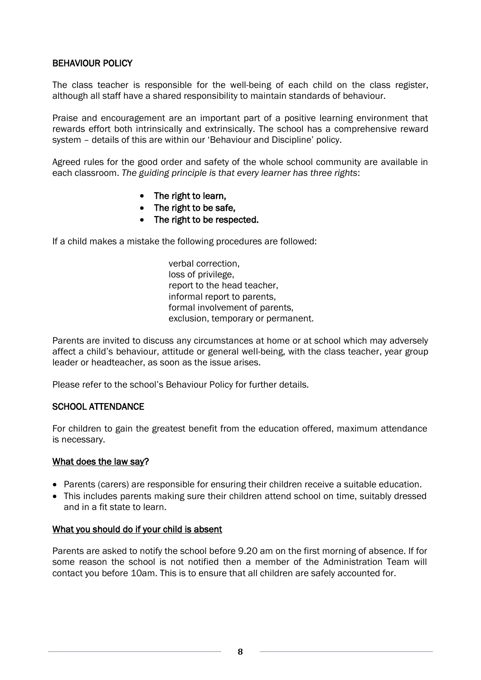#### BEHAVIOUR POLICY

The class teacher is responsible for the well-being of each child on the class register, although all staff have a shared responsibility to maintain standards of behaviour.

Praise and encouragement are an important part of a positive learning environment that rewards effort both intrinsically and extrinsically. The school has a comprehensive reward system – details of this are within our 'Behaviour and Discipline' policy.

Agreed rules for the good order and safety of the whole school community are available in each classroom. *The guiding principle is that every learner has three rights*:

- The right to learn,
- The right to be safe,
- The right to be respected.

If a child makes a mistake the following procedures are followed:

verbal correction, loss of privilege, report to the head teacher, informal report to parents, formal involvement of parents, exclusion, temporary or permanent.

Parents are invited to discuss any circumstances at home or at school which may adversely affect a child's behaviour, attitude or general well-being, with the class teacher, year group leader or headteacher, as soon as the issue arises.

Please refer to the school's Behaviour Policy for further details.

#### SCHOOL ATTENDANCE

For children to gain the greatest benefit from the education offered, maximum attendance is necessary.

#### What does the law say?

- Parents (carers) are responsible for ensuring their children receive a suitable education.
- This includes parents making sure their children attend school on time, suitably dressed and in a fit state to learn.

#### What you should do if your child is absent

Parents are asked to notify the school before 9.20 am on the first morning of absence. If for some reason the school is not notified then a member of the Administration Team will contact you before 10am. This is to ensure that all children are safely accounted for.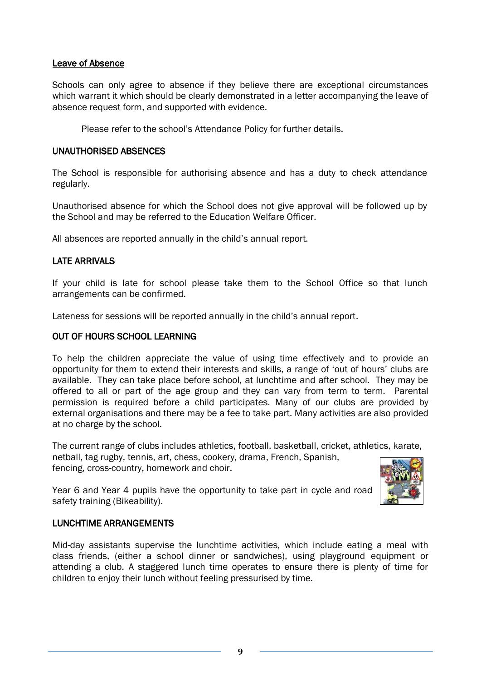#### Leave of Absence

Schools can only agree to absence if they believe there are exceptional circumstances which warrant it which should be clearly demonstrated in a letter accompanying the leave of absence request form, and supported with evidence.

Please refer to the school's Attendance Policy for further details.

#### UNAUTHORISED ABSENCES

The School is responsible for authorising absence and has a duty to check attendance regularly.

Unauthorised absence for which the School does not give approval will be followed up by the School and may be referred to the Education Welfare Officer.

All absences are reported annually in the child's annual report.

#### LATE ARRIVALS

If your child is late for school please take them to the School Office so that lunch arrangements can be confirmed.

Lateness for sessions will be reported annually in the child's annual report.

#### OUT OF HOURS SCHOOL LEARNING

To help the children appreciate the value of using time effectively and to provide an opportunity for them to extend their interests and skills, a range of 'out of hours' clubs are available. They can take place before school, at lunchtime and after school. They may be offered to all or part of the age group and they can vary from term to term. Parental permission is required before a child participates. Many of our clubs are provided by external organisations and there may be a fee to take part. Many activities are also provided at no charge by the school.

The current range of clubs includes athletics, football, basketball, cricket, athletics, karate, netball, tag rugby, tennis, art, chess, cookery, drama, French, Spanish, fencing, cross-country, homework and choir.

Year 6 and Year 4 pupils have the opportunity to take part in cycle and road safety training (Bikeability).



#### LUNCHTIME ARRANGEMENTS

Mid-day assistants supervise the lunchtime activities, which include eating a meal with class friends, (either a school dinner or sandwiches), using playground equipment or attending a club. A staggered lunch time operates to ensure there is plenty of time for children to enjoy their lunch without feeling pressurised by time.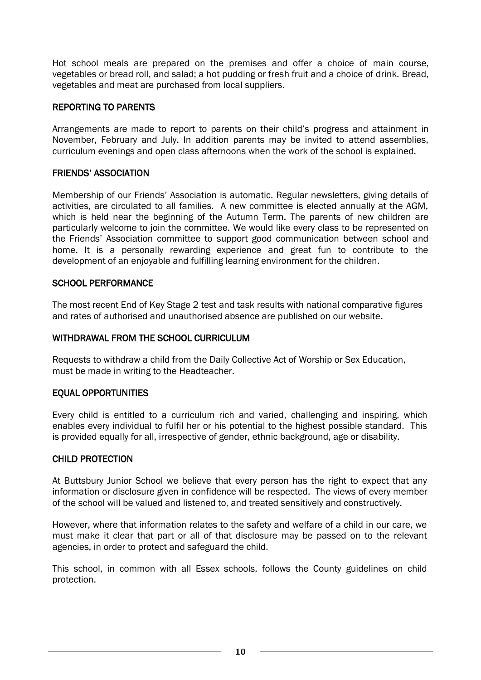Hot school meals are prepared on the premises and offer a choice of main course, vegetables or bread roll, and salad; a hot pudding or fresh fruit and a choice of drink. Bread, vegetables and meat are purchased from local suppliers.

#### REPORTING TO PARENTS

Arrangements are made to report to parents on their child's progress and attainment in November, February and July. In addition parents may be invited to attend assemblies, curriculum evenings and open class afternoons when the work of the school is explained.

#### FRIENDS' ASSOCIATION

Membership of our Friends' Association is automatic. Regular newsletters, giving details of activities, are circulated to all families. A new committee is elected annually at the AGM, which is held near the beginning of the Autumn Term. The parents of new children are particularly welcome to join the committee. We would like every class to be represented on the Friends' Association committee to support good communication between school and home. It is a personally rewarding experience and great fun to contribute to the development of an enjoyable and fulfilling learning environment for the children.

#### SCHOOL PERFORMANCE

The most recent End of Key Stage 2 test and task results with national comparative figures and rates of authorised and unauthorised absence are published on our website.

#### WITHDRAWAL FROM THE SCHOOL CURRICULUM

Requests to withdraw a child from the Daily Collective Act of Worship or Sex Education, must be made in writing to the Headteacher.

#### EQUAL OPPORTUNITIES

Every child is entitled to a curriculum rich and varied, challenging and inspiring, which enables every individual to fulfil her or his potential to the highest possible standard. This is provided equally for all, irrespective of gender, ethnic background, age or disability.

#### CHILD PROTECTION

At Buttsbury Junior School we believe that every person has the right to expect that any information or disclosure given in confidence will be respected. The views of every member of the school will be valued and listened to, and treated sensitively and constructively.

However, where that information relates to the safety and welfare of a child in our care, we must make it clear that part or all of that disclosure may be passed on to the relevant agencies, in order to protect and safeguard the child.

This school, in common with all Essex schools, follows the County guidelines on child protection.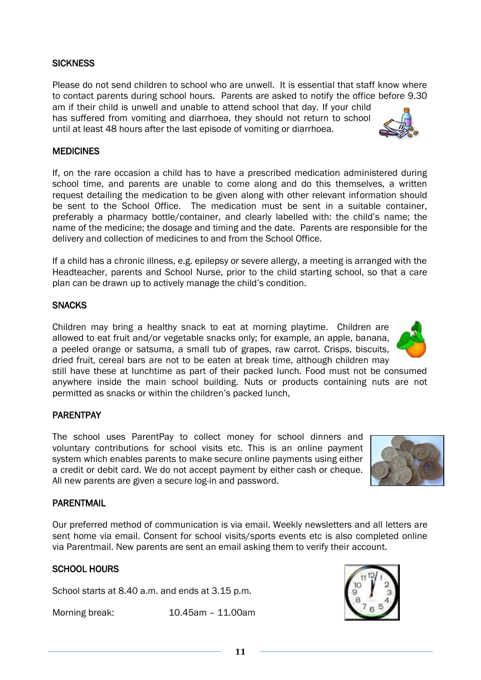#### **SICKNESS**

Please do not send children to school who are unwell. It is essential that staff know where to contact parents during school hours. Parents are asked to notify the office before 9.30 am if their child is unwell and unable to attend school that day. If your child has suffered from vomiting and diarrhoea, they should not return to school until at least 48 hours after the last episode of vomiting or diarrhoea.

#### **MEDICINES**

If, on the rare occasion a child has to have a prescribed medication administered during school time, and parents are unable to come along and do this themselves, a written request detailing the medication to be given along with other relevant information should be sent to the School Office. The medication must be sent in a suitable container, preferably a pharmacy bottle/container, and clearly labelled with: the child's name; the name of the medicine; the dosage and timing and the date. Parents are responsible for the delivery and collection of medicines to and from the School Office.

If a child has a chronic illness, e.g. epilepsy or severe allergy, a meeting is arranged with the Headteacher, parents and School Nurse, prior to the child starting school, so that a care plan can be drawn up to actively manage the child's condition.

#### **SNACKS**

Children may bring a healthy snack to eat at morning playtime. Children are allowed to eat fruit and/or vegetable snacks only; for example, an apple, banana, a peeled orange or satsuma, a small tub of grapes, raw carrot. Crisps, biscuits, dried fruit, cereal bars are not to be eaten at break time, although children may

still have these at lunchtime as part of their packed lunch. Food must not be consumed anywhere inside the main school building. Nuts or products containing nuts are not permitted as snacks or within the children's packed lunch,

#### PARENTPAY

The school uses ParentPay to collect money for school dinners and voluntary contributions for school visits etc. This is an online payment system which enables parents to make secure online payments using either a credit or debit card. We do not accept payment by either cash or cheque. All new parents are given a secure log-in and password.

#### PARENTMAIL

Our preferred method of communication is via email. Weekly newsletters and all letters are sent home via email. Consent for school visits/sports events etc is also completed online via Parentmail. New parents are sent an email asking them to verify their account.

#### SCHOOL HOURS

School starts at 8.40 a.m. and ends at 3.15 p.m.

Morning break: 10.45am – 11.00am







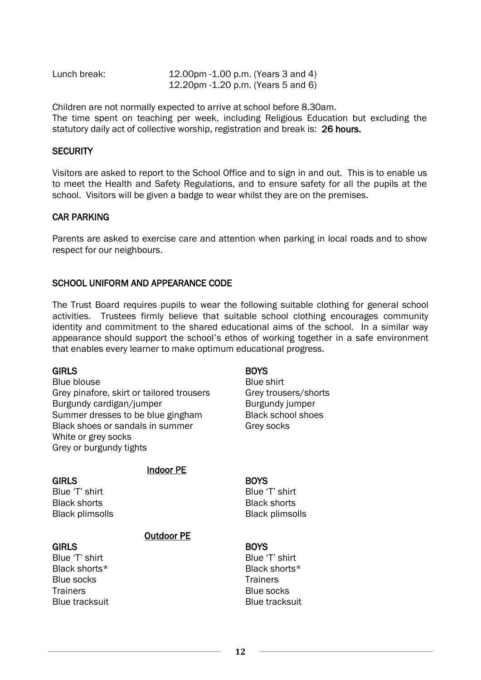| Lunch break: | 12.00pm -1.00 p.m. (Years 3 and 4) |
|--------------|------------------------------------|
|              | 12.20pm -1.20 p.m. (Years 5 and 6) |

Children are not normally expected to arrive at school before 8.30am. The time spent on teaching per week, including Religious Education but excluding the statutory daily act of collective worship, registration and break is: 26 hours.

#### **SECURITY**

Visitors are asked to report to the School Office and to sign in and out. This is to enable us to meet the Health and Safety Regulations, and to ensure safety for all the pupils at the school. Visitors will be given a badge to wear whilst they are on the premises.

#### CAR PARKING

Parents are asked to exercise care and attention when parking in local roads and to show respect for our neighbours.

#### SCHOOL UNIFORM AND APPEARANCE CODE

The Trust Board requires pupils to wear the following suitable clothing for general school activities. Trustees firmly believe that suitable school clothing encourages community identity and commitment to the shared educational aims of the school. In a similar way appearance should support the school's ethos of working together in a safe environment that enables every learner to make optimum educational progress.

#### GIRLS

Blue blouse Grey pinafore, skirt or tailored trousers Burgundy cardigan/jumper Summer dresses to be blue gingham Black shoes or sandals in summer White or grey socks Grey or burgundy tights

#### **GIRLS**

Blue 'T' shirt Black shorts Black plimsolls

Indoor PE

## Outdoor PE

#### **GIRLS**

Blue 'T' shirt Black shorts\* Blue socks **Trainers** Blue tracksuit

#### **BOYS**

Blue shirt Grey trousers/shorts Burgundy jumper Black school shoes Grey socks

#### **BOYS**

Blue 'T' shirt Black shorts Black plimsolls

#### **BOYS**

Blue 'T' shirt Black shorts\* **Trainers** Blue socks Blue tracksuit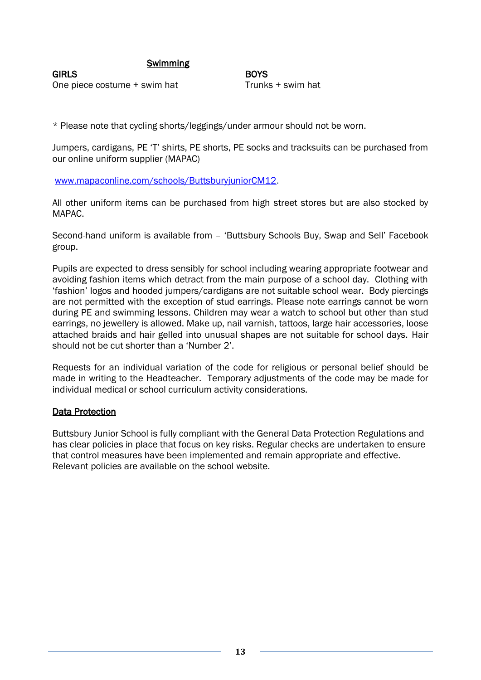#### Swimming

**GIRLS** One piece costume + swim hat **BOYS** Trunks + swim hat

\* Please note that cycling shorts/leggings/under armour should not be worn.

Jumpers, cardigans, PE 'T' shirts, PE shorts, PE socks and tracksuits can be purchased from our online uniform supplier (MAPAC)

[www.mapaconline.com/schools/ButtsburyjuniorCM12.](http://www.mapaconline.com/schools/ButtsburyjuniorCM12)

All other uniform items can be purchased from high street stores but are also stocked by MAPAC.

Second-hand uniform is available from – 'Buttsbury Schools Buy, Swap and Sell' Facebook group.

Pupils are expected to dress sensibly for school including wearing appropriate footwear and avoiding fashion items which detract from the main purpose of a school day. Clothing with 'fashion' logos and hooded jumpers/cardigans are not suitable school wear. Body piercings are not permitted with the exception of stud earrings. Please note earrings cannot be worn during PE and swimming lessons. Children may wear a watch to school but other than stud earrings, no jewellery is allowed. Make up, nail varnish, tattoos, large hair accessories, loose attached braids and hair gelled into unusual shapes are not suitable for school days. Hair should not be cut shorter than a 'Number 2'.

Requests for an individual variation of the code for religious or personal belief should be made in writing to the Headteacher. Temporary adjustments of the code may be made for individual medical or school curriculum activity considerations.

#### Data Protection

Buttsbury Junior School is fully compliant with the General Data Protection Regulations and has clear policies in place that focus on key risks. Regular checks are undertaken to ensure that control measures have been implemented and remain appropriate and effective. Relevant policies are available on the school website.